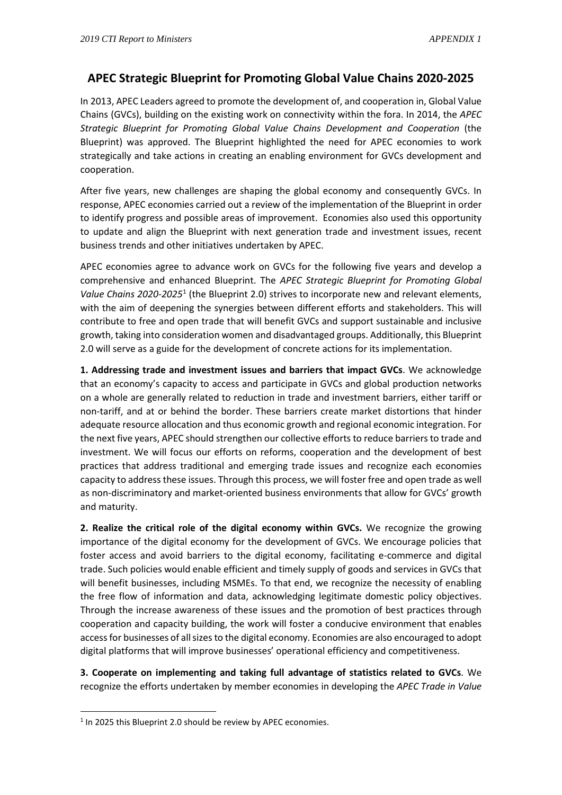## **APEC Strategic Blueprint for Promoting Global Value Chains 2020-2025**

In 2013, APEC Leaders agreed to promote the development of, and cooperation in, Global Value Chains (GVCs), building on the existing work on connectivity within the fora. In 2014, the *APEC Strategic Blueprint for Promoting Global Value Chains Development and Cooperation* (the Blueprint) was approved. The Blueprint highlighted the need for APEC economies to work strategically and take actions in creating an enabling environment for GVCs development and cooperation.

After five years, new challenges are shaping the global economy and consequently GVCs. In response, APEC economies carried out a review of the implementation of the Blueprint in order to identify progress and possible areas of improvement. Economies also used this opportunity to update and align the Blueprint with next generation trade and investment issues, recent business trends and other initiatives undertaken by APEC.

APEC economies agree to advance work on GVCs for the following five years and develop a comprehensive and enhanced Blueprint. The *APEC Strategic Blueprint for Promoting Global Value Chains 2020-2025*[1](#page-0-0) (the Blueprint 2.0) strives to incorporate new and relevant elements, with the aim of deepening the synergies between different efforts and stakeholders. This will contribute to free and open trade that will benefit GVCs and support sustainable and inclusive growth, taking into consideration women and disadvantaged groups. Additionally, this Blueprint 2.0 will serve as a guide for the development of concrete actions for its implementation.

**1. Addressing trade and investment issues and barriers that impact GVCs**. We acknowledge that an economy's capacity to access and participate in GVCs and global production networks on a whole are generally related to reduction in trade and investment barriers, either tariff or non-tariff, and at or behind the border. These barriers create market distortions that hinder adequate resource allocation and thus economic growth and regional economic integration. For the next five years, APEC should strengthen our collective efforts to reduce barriers to trade and investment. We will focus our efforts on reforms, cooperation and the development of best practices that address traditional and emerging trade issues and recognize each economies capacity to address these issues. Through this process, we will foster free and open trade as well as non-discriminatory and market-oriented business environments that allow for GVCs' growth and maturity.

**2. Realize the critical role of the digital economy within GVCs.** We recognize the growing importance of the digital economy for the development of GVCs. We encourage policies that foster access and avoid barriers to the digital economy, facilitating e-commerce and digital trade. Such policies would enable efficient and timely supply of goods and services in GVCs that will benefit businesses, including MSMEs. To that end, we recognize the necessity of enabling the free flow of information and data, acknowledging legitimate domestic policy objectives. Through the increase awareness of these issues and the promotion of best practices through cooperation and capacity building, the work will foster a conducive environment that enables access for businesses of all sizes to the digital economy. Economies are also encouraged to adopt digital platforms that will improve businesses' operational efficiency and competitiveness.

**3. Cooperate on implementing and taking full advantage of statistics related to GVCs**. We recognize the efforts undertaken by member economies in developing the *APEC Trade in Value* 

<span id="page-0-0"></span><sup>&</sup>lt;sup>1</sup> In 2025 this Blueprint 2.0 should be review by APEC economies.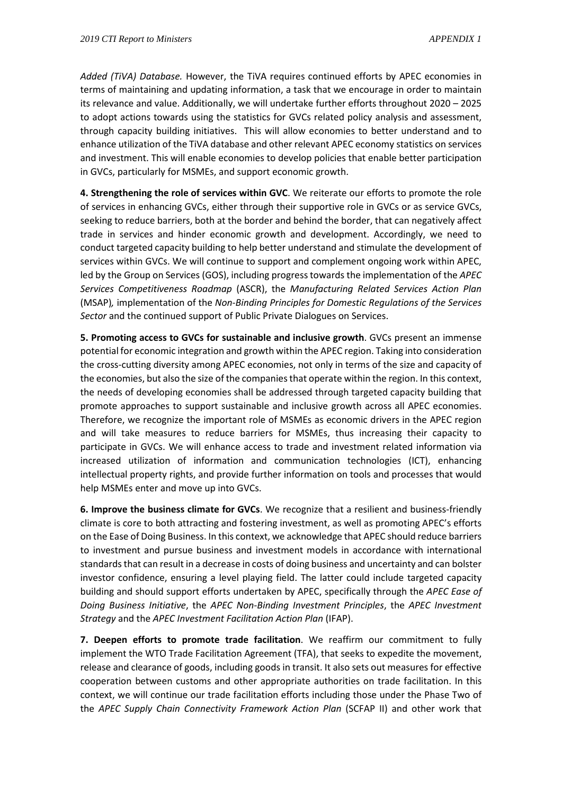*Added (TiVA) Database.* However, the TiVA requires continued efforts by APEC economies in terms of maintaining and updating information, a task that we encourage in order to maintain its relevance and value. Additionally, we will undertake further efforts throughout 2020 – 2025 to adopt actions towards using the statistics for GVCs related policy analysis and assessment, through capacity building initiatives. This will allow economies to better understand and to enhance utilization of the TiVA database and other relevant APEC economy statistics on services and investment. This will enable economies to develop policies that enable better participation in GVCs, particularly for MSMEs, and support economic growth.

**4. Strengthening the role of services within GVC**. We reiterate our efforts to promote the role of services in enhancing GVCs, either through their supportive role in GVCs or as service GVCs, seeking to reduce barriers, both at the border and behind the border, that can negatively affect trade in services and hinder economic growth and development. Accordingly, we need to conduct targeted capacity building to help better understand and stimulate the development of services within GVCs. We will continue to support and complement ongoing work within APEC, led by the Group on Services (GOS), including progress towards the implementation of the *APEC Services Competitiveness Roadmap* (ASCR), the *Manufacturing Related Services Action Plan* (MSAP)*,* implementation of the *Non-Binding Principles for Domestic Regulations of the Services Sector* and the continued support of Public Private Dialogues on Services.

**5. Promoting access to GVCs for sustainable and inclusive growth**. GVCs present an immense potential for economic integration and growth within the APEC region. Taking into consideration the cross-cutting diversity among APEC economies, not only in terms of the size and capacity of the economies, but also the size of the companies that operate within the region. In this context, the needs of developing economies shall be addressed through targeted capacity building that promote approaches to support sustainable and inclusive growth across all APEC economies. Therefore, we recognize the important role of MSMEs as economic drivers in the APEC region and will take measures to reduce barriers for MSMEs, thus increasing their capacity to participate in GVCs. We will enhance access to trade and investment related information via increased utilization of information and communication technologies (ICT), enhancing intellectual property rights, and provide further information on tools and processes that would help MSMEs enter and move up into GVCs.

**6. Improve the business climate for GVCs**. We recognize that a resilient and business-friendly climate is core to both attracting and fostering investment, as well as promoting APEC's efforts on the Ease of Doing Business. In this context, we acknowledge that APEC should reduce barriers to investment and pursue business and investment models in accordance with international standards that can result in a decrease in costs of doing business and uncertainty and can bolster investor confidence, ensuring a level playing field. The latter could include targeted capacity building and should support efforts undertaken by APEC, specifically through the *APEC Ease of Doing Business Initiative*, the *APEC Non-Binding Investment Principles*, the *APEC Investment Strategy* and the *APEC Investment Facilitation Action Plan* (IFAP).

**7. Deepen efforts to promote trade facilitation**. We reaffirm our commitment to fully implement the WTO Trade Facilitation Agreement (TFA), that seeks to expedite the movement, release and clearance of goods, including goods in transit. It also sets out measures for effective cooperation between customs and other appropriate authorities on trade facilitation. In this context, we will continue our trade facilitation efforts including those under the Phase Two of the *APEC Supply Chain Connectivity Framework Action Plan* (SCFAP II) and other work that